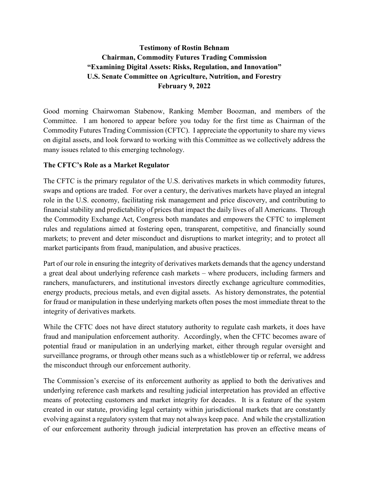# **Testimony of Rostin Behnam Chairman, Commodity Futures Trading Commission "Examining Digital Assets: Risks, Regulation, and Innovation" U.S. Senate Committee on Agriculture, Nutrition, and Forestry February 9, 2022**

Good morning Chairwoman Stabenow, Ranking Member Boozman, and members of the Committee. I am honored to appear before you today for the first time as Chairman of the Commodity Futures Trading Commission (CFTC). I appreciate the opportunity to share my views on digital assets, and look forward to working with this Committee as we collectively address the many issues related to this emerging technology.

### **The CFTC's Role as a Market Regulator**

The CFTC is the primary regulator of the U.S. derivatives markets in which commodity futures, swaps and options are traded. For over a century, the derivatives markets have played an integral role in the U.S. economy, facilitating risk management and price discovery, and contributing to financial stability and predictability of prices that impact the daily lives of all Americans. Through the Commodity Exchange Act, Congress both mandates and empowers the CFTC to implement rules and regulations aimed at fostering open, transparent, competitive, and financially sound markets; to prevent and deter misconduct and disruptions to market integrity; and to protect all market participants from fraud, manipulation, and abusive practices.

Part of our role in ensuring the integrity of derivatives markets demands that the agency understand a great deal about underlying reference cash markets – where producers, including farmers and ranchers, manufacturers, and institutional investors directly exchange agriculture commodities, energy products, precious metals, and even digital assets. As history demonstrates, the potential for fraud or manipulation in these underlying markets often poses the most immediate threat to the integrity of derivatives markets.

While the CFTC does not have direct statutory authority to regulate cash markets, it does have fraud and manipulation enforcement authority. Accordingly, when the CFTC becomes aware of potential fraud or manipulation in an underlying market, either through regular oversight and surveillance programs, or through other means such as a whistleblower tip or referral, we address the misconduct through our enforcement authority.

The Commission's exercise of its enforcement authority as applied to both the derivatives and underlying reference cash markets and resulting judicial interpretation has provided an effective means of protecting customers and market integrity for decades. It is a feature of the system created in our statute, providing legal certainty within jurisdictional markets that are constantly evolving against a regulatory system that may not always keep pace. And while the crystallization of our enforcement authority through judicial interpretation has proven an effective means of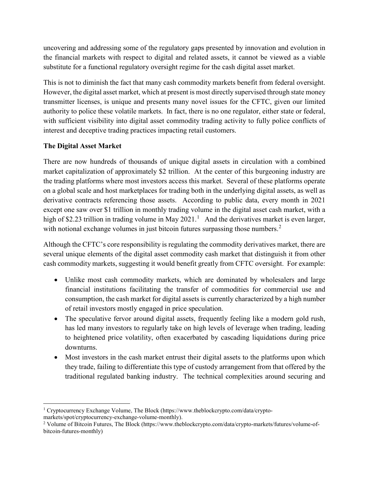uncovering and addressing some of the regulatory gaps presented by innovation and evolution in the financial markets with respect to digital and related assets, it cannot be viewed as a viable substitute for a functional regulatory oversight regime for the cash digital asset market.

This is not to diminish the fact that many cash commodity markets benefit from federal oversight. However, the digital asset market, which at present is most directly supervised through state money transmitter licenses, is unique and presents many novel issues for the CFTC, given our limited authority to police these volatile markets. In fact, there is no one regulator, either state or federal, with sufficient visibility into digital asset commodity trading activity to fully police conflicts of interest and deceptive trading practices impacting retail customers.

# **The Digital Asset Market**

There are now hundreds of thousands of unique digital assets in circulation with a combined market capitalization of approximately \$2 trillion. At the center of this burgeoning industry are the trading platforms where most investors access this market. Several of these platforms operate on a global scale and host marketplaces for trading both in the underlying digital assets, as well as derivative contracts referencing those assets. According to public data, every month in 2021 except one saw over \$1 trillion in monthly trading volume in the digital asset cash market, with a high of \$2.23 trillion in trading volume in May  $2021<sup>1</sup>$  $2021<sup>1</sup>$  $2021<sup>1</sup>$  And the derivatives market is even larger, with notional exchange volumes in just bitcoin futures surpassing those numbers.<sup>[2](#page-1-1)</sup>

Although the CFTC's core responsibility is regulating the commodity derivatives market, there are several unique elements of the digital asset commodity cash market that distinguish it from other cash commodity markets, suggesting it would benefit greatly from CFTC oversight. For example:

- Unlike most cash commodity markets, which are dominated by wholesalers and large financial institutions facilitating the transfer of commodities for commercial use and consumption, the cash market for digital assets is currently characterized by a high number of retail investors mostly engaged in price speculation.
- The speculative fervor around digital assets, frequently feeling like a modern gold rush, has led many investors to regularly take on high levels of leverage when trading, leading to heightened price volatility, often exacerbated by cascading liquidations during price downturns.
- Most investors in the cash market entrust their digital assets to the platforms upon which they trade, failing to differentiate this type of custody arrangement from that offered by the traditional regulated banking industry. The technical complexities around securing and

l

<span id="page-1-0"></span><sup>&</sup>lt;sup>1</sup> Cryptocurrency Exchange Volume, The Block (https://www.theblockcrypto.com/data/crypto-

markets/spot/cryptocurrency-exchange-volume-monthly).

<span id="page-1-1"></span><sup>2</sup> Volume of Bitcoin Futures, The Block (https://www.theblockcrypto.com/data/crypto-markets/futures/volume-ofbitcoin-futures-monthly)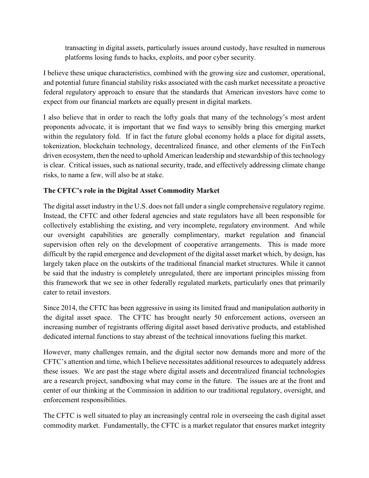transacting in digital assets, particularly issues around custody, have resulted in numerous platforms losing funds to hacks, exploits, and poor cyber security.

I believe these unique characteristics, combined with the growing size and customer, operational, and potential future financial stability risks associated with the cash market necessitate a proactive federal regulatory approach to ensure that the standards that American investors have come to expect from our financial markets are equally present in digital markets.

I also believe that in order to reach the lofty goals that many of the technology's most ardent proponents advocate, it is important that we find ways to sensibly bring this emerging market within the regulatory fold. If in fact the future global economy holds a place for digital assets, tokenization, blockchain technology, decentralized finance, and other elements of the FinTech driven ecosystem, then the need to uphold American leadership and stewardship of this technology is clear. Critical issues, such as national security, trade, and effectively addressing climate change risks, to name a few, will also be at stake.

# **The CFTC's role in the Digital Asset Commodity Market**

The digital asset industry in the U.S. does not fall under a single comprehensive regulatory regime. Instead, the CFTC and other federal agencies and state regulators have all been responsible for collectively establishing the existing, and very incomplete, regulatory environment. And while our oversight capabilities are generally complimentary, market regulation and financial supervision often rely on the development of cooperative arrangements. This is made more difficult by the rapid emergence and development of the digital asset market which, by design, has largely taken place on the outskirts of the traditional financial market structures. While it cannot be said that the industry is completely unregulated, there are important principles missing from this framework that we see in other federally regulated markets, particularly ones that primarily cater to retail investors.

Since 2014, the CFTC has been aggressive in using its limited fraud and manipulation authority in the digital asset space. The CFTC has brought nearly 50 enforcement actions, overseen an increasing number of registrants offering digital asset based derivative products, and established dedicated internal functions to stay abreast of the technical innovations fueling this market.

However, many challenges remain, and the digital sector now demands more and more of the CFTC's attention and time, which I believe necessitates additional resources to adequately address these issues. We are past the stage where digital assets and decentralized financial technologies are a research project, sandboxing what may come in the future. The issues are at the front and center of our thinking at the Commission in addition to our traditional regulatory, oversight, and enforcement responsibilities.

The CFTC is well situated to play an increasingly central role in overseeing the cash digital asset commodity market. Fundamentally, the CFTC is a market regulator that ensures market integrity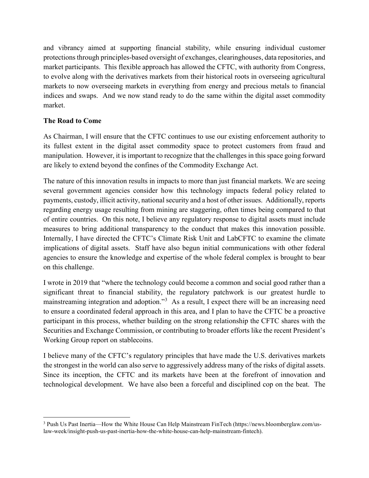and vibrancy aimed at supporting financial stability, while ensuring individual customer protections through principles-based oversight of exchanges, clearinghouses, data repositories, and market participants. This flexible approach has allowed the CFTC, with authority from Congress, to evolve along with the derivatives markets from their historical roots in overseeing agricultural markets to now overseeing markets in everything from energy and precious metals to financial indices and swaps. And we now stand ready to do the same within the digital asset commodity market.

### **The Road to Come**

l

As Chairman, I will ensure that the CFTC continues to use our existing enforcement authority to its fullest extent in the digital asset commodity space to protect customers from fraud and manipulation. However, it is important to recognize that the challenges in this space going forward are likely to extend beyond the confines of the Commodity Exchange Act.

The nature of this innovation results in impacts to more than just financial markets. We are seeing several government agencies consider how this technology impacts federal policy related to payments, custody, illicit activity, national security and a host of other issues. Additionally, reports regarding energy usage resulting from mining are staggering, often times being compared to that of entire countries. On this note, I believe any regulatory response to digital assets must include measures to bring additional transparency to the conduct that makes this innovation possible. Internally, I have directed the CFTC's Climate Risk Unit and LabCFTC to examine the climate implications of digital assets. Staff have also begun initial communications with other federal agencies to ensure the knowledge and expertise of the whole federal complex is brought to bear on this challenge.

I wrote in 2019 that "where the technology could become a common and social good rather than a significant threat to financial stability, the regulatory patchwork is our greatest hurdle to mainstreaming integration and adoption."<sup>[3](#page-3-0)</sup> As a result, I expect there will be an increasing need to ensure a coordinated federal approach in this area, and I plan to have the CFTC be a proactive participant in this process, whether building on the strong relationship the CFTC shares with the Securities and Exchange Commission, or contributing to broader efforts like the recent President's Working Group report on stablecoins.

I believe many of the CFTC's regulatory principles that have made the U.S. derivatives markets the strongest in the world can also serve to aggressively address many of the risks of digital assets. Since its inception, the CFTC and its markets have been at the forefront of innovation and technological development. We have also been a forceful and disciplined cop on the beat. The

<span id="page-3-0"></span><sup>3</sup> Push Us Past Inertia—How the White House Can Help Mainstream FinTech (https://news.bloomberglaw.com/uslaw-week/insight-push-us-past-inertia-how-the-white-house-can-help-mainstream-fintech).